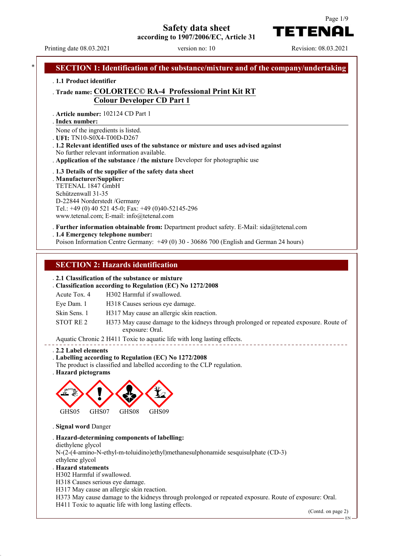**Safety data sheet**



**according to 1907/2006/EC, Article 31**

Printing date 08.03.2021 version no: 10 Revision: 08.03.2021

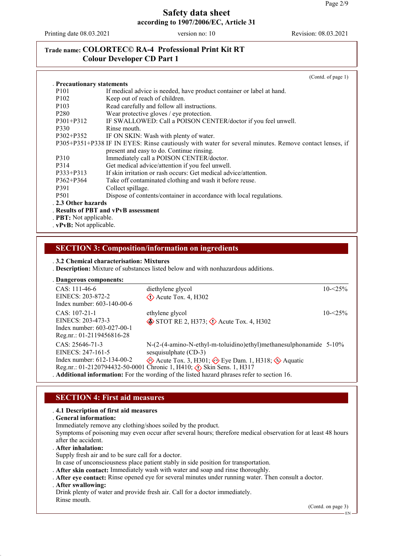Printing date 08.03.2021 version no: 10 Revision: 08.03.2021

# **Trade name: COLORTEC© RA-4 Professional Print Kit RT Colour Developer CD Part 1**

|                            | (Cond. of page 1)                                                                                     |
|----------------------------|-------------------------------------------------------------------------------------------------------|
| . Precautionary statements |                                                                                                       |
| P <sub>101</sub>           | If medical advice is needed, have product container or label at hand.                                 |
| P <sub>102</sub>           | Keep out of reach of children.                                                                        |
| P <sub>10</sub> 3          | Read carefully and follow all instructions.                                                           |
| P <sub>280</sub>           | Wear protective gloves / eye protection.                                                              |
| P301+P312                  | IF SWALLOWED: Call a POISON CENTER/doctor if you feel unwell.                                         |
| P330                       | Rinse mouth                                                                                           |
| $P302 + P352$              | IF ON SKIN: Wash with plenty of water.                                                                |
|                            | P305+P351+P338 IF IN EYES: Rinse cautiously with water for several minutes. Remove contact lenses, if |
|                            | present and easy to do. Continue rinsing.                                                             |
| P310                       | Immediately call a POISON CENTER/doctor.                                                              |
| P314                       | Get medical advice/attention if you feel unwell.                                                      |
| P333+P313                  | If skin irritation or rash occurs: Get medical advice/attention.                                      |
| $P362 + P364$              | Take off contaminated clothing and wash it before reuse.                                              |
| P391                       | Collect spillage.                                                                                     |
| P <sub>501</sub>           | Dispose of contents/container in accordance with local regulations.                                   |
| . 2.3 Other hazards        |                                                                                                       |
|                            | . Results of PBT and vPvB assessment                                                                  |
| . PBT: Not applicable.     |                                                                                                       |
| . vPvB: Not applicable.    |                                                                                                       |

# **SECTION 3: Composition/information on ingredients**

#### . **3.2 Chemical characterisation: Mixtures**

. **Description:** Mixture of substances listed below and with nonhazardous additions.

| . Dangerous components:                                                                         |                                                                                                                                                             |             |
|-------------------------------------------------------------------------------------------------|-------------------------------------------------------------------------------------------------------------------------------------------------------------|-------------|
| $CAS: 111-46-6$<br>EINECS: 203-872-2<br>Index number: $603-140-00-6$                            | diethylene glycol<br>$\Diamond$ Acute Tox. 4, H302                                                                                                          | $10 - 5\%$  |
| $CAS: 107-21-1$<br>EINECS: 203-473-3<br>Index number: 603-027-00-1<br>Reg.nr.: 01-2119456816-28 | ethylene glycol<br>$\diamond$ STOT RE 2, H373; $\diamond$ Acute Tox. 4, H302                                                                                | $10 - 25\%$ |
| $CAS: 25646-71-3$<br>EINECS: 247-161-5                                                          | $N-(2-(4-amino-N-ethyl-m-toluidino)ethyl)$ methanes ulphonamide 5-10%<br>sesquisulphate (CD-3)                                                              |             |
| Index number: $612-134-00-2$                                                                    | Acute Tox. 3, H301; $\leftrightarrow$ Eye Dam. 1, H318; $\leftrightarrow$ Aquatic<br>Reg.nr.: 01-2120794432-50-0001 Chronic 1, H410; (1) Skin Sens. 1, H317 |             |
|                                                                                                 | . Additional information: For the wording of the listed hazard phrases refer to section 16.                                                                 |             |

### **SECTION 4: First aid measures**

#### . **4.1 Description of first aid measures**

. **General information:**

Immediately remove any clothing/shoes soiled by the product.

Symptoms of poisoning may even occur after several hours; therefore medical observation for at least 48 hours after the accident.

. **After inhalation:**

Supply fresh air and to be sure call for a doctor.

- In case of unconsciousness place patient stably in side position for transportation.
- . **After skin contact:** Immediately wash with water and soap and rinse thoroughly.
- . **After eye contact:** Rinse opened eye for several minutes under running water. Then consult a doctor.
- . **After swallowing:**

Drink plenty of water and provide fresh air. Call for a doctor immediately. Rinse mouth.

(Contd. on page 3)

EN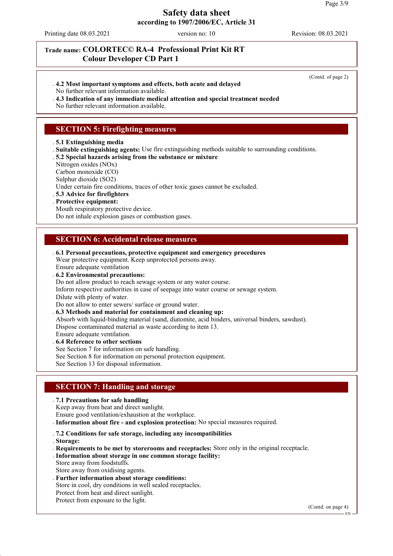Printing date 08.03.2021 version no: 10 Revision: 08.03.2021

# **Trade name: COLORTEC© RA-4 Professional Print Kit RT Colour Developer CD Part 1**

. **4.2 Most important symptoms and effects, both acute and delayed**

No further relevant information available.

. **4.3 Indication of any immediate medical attention and special treatment needed**

No further relevant information available.

# **SECTION 5: Firefighting measures**

#### . **5.1 Extinguishing media**

. **Suitable extinguishing agents:** Use fire extinguishing methods suitable to surrounding conditions.

. **5.2 Special hazards arising from the substance or mixture**

Nitrogen oxides (NOx)

Carbon monoxide (CO)

Sulphur dioxide (SO2)

Under certain fire conditions, traces of other toxic gases cannot be excluded.

. **5.3 Advice for firefighters**

#### . **Protective equipment:**

Mouth respiratory protective device.

Do not inhale explosion gases or combustion gases.

### **SECTION 6: Accidental release measures**

. **6.1 Personal precautions, protective equipment and emergency procedures** Wear protective equipment. Keep unprotected persons away. Ensure adequate ventilation . **6.2 Environmental precautions:** Do not allow product to reach sewage system or any water course.

Inform respective authorities in case of seepage into water course or sewage system. Dilute with plenty of water.

Do not allow to enter sewers/ surface or ground water.

. **6.3 Methods and material for containment and cleaning up:**

Absorb with liquid-binding material (sand, diatomite, acid binders, universal binders, sawdust).

Dispose contaminated material as waste according to item 13.

Ensure adequate ventilation. . **6.4 Reference to other sections**

See Section 7 for information on safe handling.

See Section 8 for information on personal protection equipment.

See Section 13 for disposal information.

# **SECTION 7: Handling and storage**

. **7.1 Precautions for safe handling**

Keep away from heat and direct sunlight.

Ensure good ventilation/exhaustion at the workplace.

. **Information about fire - and explosion protection:** No special measures required.

. **7.2 Conditions for safe storage, including any incompatibilities**

. **Storage:**

. **Requirements to be met by storerooms and receptacles:** Store only in the original receptacle.

. **Information about storage in one common storage facility:**

Store away from foodstuffs.

Store away from oxidising agents.

. **Further information about storage conditions:**

Store in cool, dry conditions in well sealed receptacles.

Protect from heat and direct sunlight.

Protect from exposure to the light.

(Contd. on page 4)

(Contd. of page 2)

EN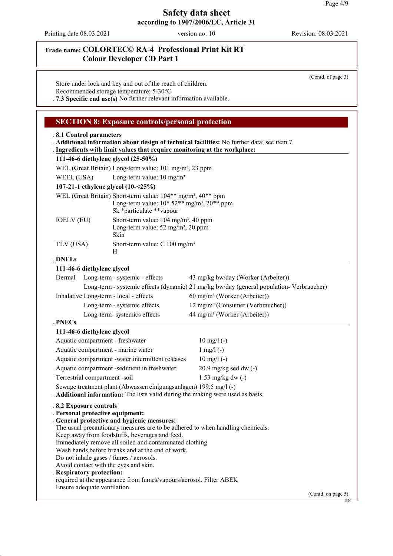Printing date 08.03.2021 version no: 10 Revision: 08.03.2021

# **Trade name: COLORTEC© RA-4 Professional Print Kit RT Colour Developer CD Part 1**

(Contd. of page 3)

Store under lock and key and out of the reach of children. Recommended storage temperature: 5-30°C

. **7.3 Specific end use(s)** No further relevant information available.

### **SECTION 8: Exposure controls/personal protection**

### . **8.1 Control parameters** . **Additional information about design of technical facilities:** No further data; see item 7. . Ingredients with limit values that require monitoring at the workplace: **111-46-6 diethylene glycol (25-50%)** WEL (Great Britain) Long-term value: 101 mg/m<sup>3</sup>, 23 ppm WEEL (USA) Long-term value:  $10 \text{ mg/m}^3$ **107-21-1 ethylene glycol (10-<25%)** WEL (Great Britain) Short-term value:  $104**$  mg/m<sup>3</sup>,  $40**$  ppm Long-term value:  $10*52**$  mg/m<sup>3</sup>,  $20**$  ppm Sk \*particulate \*\*vapour IOELV (EU) Short-term value: 104 mg/m<sup>3</sup>, 40 ppm Long-term value:  $52 \text{ mg/m}^3$ ,  $20 \text{ ppm}$ Skin TLV (USA) Short-term value: C 100 mg/m<sup>3</sup> H **DNELs** . **111-46-6 diethylene glycol** Dermal Long-term - systemic - effects 43 mg/kg bw/day (Worker (Arbeiter)) Long-term - systemic effects (dynamic) 21 mg/kg bw/day (general population- Verbraucher) Inhalative Long-term - local - effects 60 mg/m<sup>3</sup> (Worker (Arbeiter)) Long-term - systemic effects 12 mg/m<sup>3</sup> (Consumer (Verbraucher)) Long-term- systemics effects 44 mg/m<sup>3</sup> (Worker (Arbeiter)) **PNECs** . **111-46-6 diethylene glycol** Aquatic compartment - freshwater 10 mg/l (-) Aquatic compartment - marine water 1 mg/l (-) Aquatic compartment -water, intermittent releases 10 mg/l (-) Aquatic compartment -sediment in freshwater 20.9 mg/kg sed dw (-) Terrestrial compartment -soil 1.53 mg/kg dw (-) Sewage treatment plant (Abwasserreinigungsanlagen) 199.5 mg/l (-) . **Additional information:** The lists valid during the making were used as basis. . **8.2 Exposure controls** . **Personal protective equipment:** . **General protective and hygienic measures:** The usual precautionary measures are to be adhered to when handling chemicals. Keep away from foodstuffs, beverages and feed. Immediately remove all soiled and contaminated clothing Wash hands before breaks and at the end of work. Do not inhale gases / fumes / aerosols. Avoid contact with the eyes and skin. . **Respiratory protection:** required at the appearance from fumes/vapours/aerosol. Filter ABEK Ensure adequate ventilation (Contd. on page 5)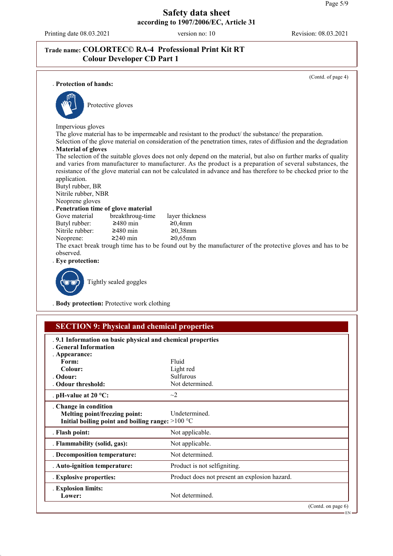Printing date 08.03.2021 version no: 10 Revision: 08.03.2021

# **Trade name: COLORTEC© RA-4 Professional Print Kit RT Colour Developer CD Part 1**

(Contd. of page 4) . **Protection of hands:** Protective gloves Impervious gloves The glove material has to be impermeable and resistant to the product/ the substance/ the preparation. Selection of the glove material on consideration of the penetration times, rates of diffusion and the degradation . **Material of gloves** The selection of the suitable gloves does not only depend on the material, but also on further marks of quality and varies from manufacturer to manufacturer. As the product is a preparation of several substances, the resistance of the glove material can not be calculated in advance and has therefore to be checked prior to the application. Butyl rubber, BR Nitrile rubber, NBR Neoprene gloves **Penetration time of glove material**<br>Gove material breakthroug-time breakthroug-time layer thickness<br> $\geq 480$  min  $\geq 0.4$ mm Butyl rubber:  $\geq 480$  min  $\geq 0,4$ mm<br>Nitrile rubber:  $\geq 480$  min  $\geq 0,38$ mm Nitrile rubber: Neoprene: ≥240 min ≥0,65mm The exact break trough time has to be found out by the manufacturer of the protective gloves and has to be observed. . **Eye protection:** Tightly sealed goggles

. **Body protection:** Protective work clothing

| <b>SECTION 9: Physical and chemical properties</b>                                                         |                                               |                    |
|------------------------------------------------------------------------------------------------------------|-----------------------------------------------|--------------------|
| .9.1 Information on basic physical and chemical properties<br>. General Information                        |                                               |                    |
| . Appearance:                                                                                              |                                               |                    |
| Form:                                                                                                      | Fluid                                         |                    |
| Colour:                                                                                                    | Light red                                     |                    |
| Odour:                                                                                                     | Sulfurous                                     |                    |
| Odour threshold:                                                                                           | Not determined.                               |                    |
| . pH-value at $20 °C$ :                                                                                    | $\sim$ 2                                      |                    |
| . Change in condition<br>Melting point/freezing point:<br>Initial boiling point and boiling range: >100 °C | <b>Undetermined</b>                           |                    |
| . Flash point:                                                                                             | Not applicable.                               |                    |
| . Flammability (solid, gas):                                                                               | Not applicable.                               |                    |
| . Decomposition temperature:                                                                               | Not determined.                               |                    |
| . Auto-ignition temperature:                                                                               | Product is not selfigniting.                  |                    |
| . Explosive properties:                                                                                    | Product does not present an explosion hazard. |                    |
| . Explosion limits:<br>Lower:                                                                              | Not determined.                               |                    |
|                                                                                                            |                                               | (Contd. on page 6) |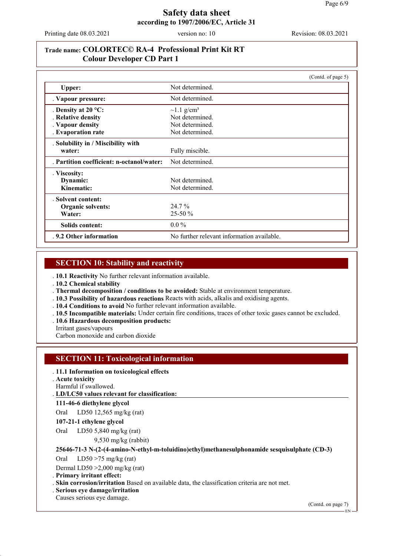Printing date 08.03.2021 version no: 10 Revision: 08.03.2021

# **Trade name: COLORTEC© RA-4 Professional Print Kit RT Colour Developer CD Part 1**

|                                           | (Contd. of page 5)                         |
|-------------------------------------------|--------------------------------------------|
| Upper:                                    | Not determined.                            |
| . Vapour pressure:                        | Not determined.                            |
| . Density at $20^{\circ}$ C:              | $\sim$ 1.1 g/cm <sup>3</sup>               |
| . Relative density                        | Not determined.                            |
| . Vapour density                          | Not determined.                            |
| . Evaporation rate                        | Not determined.                            |
| . Solubility in / Miscibility with        |                                            |
| water:                                    | Fully miscible.                            |
| . Partition coefficient: n-octanol/water: | Not determined.                            |
| . Viscosity:                              |                                            |
| Dynamic:                                  | Not determined.                            |
| Kinematic:                                | Not determined.                            |
| . Solvent content:                        |                                            |
| Organic solvents:                         | 24.7 %                                     |
| Water:                                    | 25-50 %                                    |
| Solids content:                           | $0.0\%$                                    |
| .9.2 Other information                    | No further relevant information available. |

# **SECTION 10: Stability and reactivity**

. **10.1 Reactivity** No further relevant information available.

. **10.2 Chemical stability**

. **Thermal decomposition / conditions to be avoided:** Stable at environment temperature.

. **10.3 Possibility of hazardous reactions** Reacts with acids, alkalis and oxidising agents.

. **10.4 Conditions to avoid** No further relevant information available.

- . **10.5 Incompatible materials:** Under certain fire conditions, traces of other toxic gases cannot be excluded.
- . **10.6 Hazardous decomposition products:**

Irritant gases/vapours

Carbon monoxide and carbon dioxide

# **SECTION 11: Toxicological information**

### . **11.1 Information on toxicological effects**

. **Acute toxicity**

Harmful if swallowed.

**LD/LC50 values relevant for classification:** .

#### **111-46-6 diethylene glycol**

Oral LD50 12,565 mg/kg (rat)

#### **107-21-1 ethylene glycol**

Oral LD50 5,840 mg/kg (rat)

9,530 mg/kg (rabbit)

### **25646-71-3 N-(2-(4-amino-N-ethyl-m-toluidino)ethyl)methanesulphonamide sesquisulphate (CD-3)**

Oral LD50 >75 mg/kg (rat)

Dermal LD50 >2,000 mg/kg (rat)

. **Primary irritant effect:**

. **Skin corrosion/irritation** Based on available data, the classification criteria are not met.

. **Serious eye damage/irritation**

Causes serious eye damage.

(Contd. on page 7)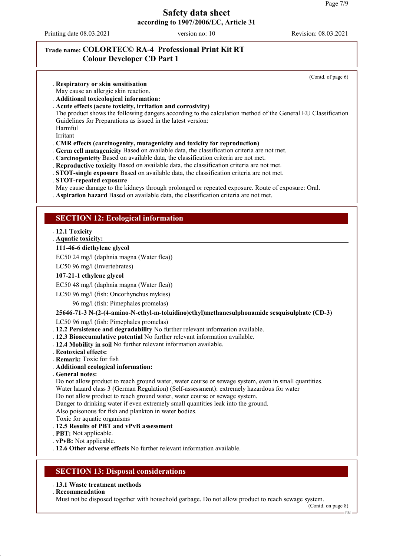Printing date 08.03.2021 version no: 10 Revision: 08.03.2021

. **Respiratory or skin sensitisation**

(Contd. of page 6)

# **Trade name: COLORTEC© RA-4 Professional Print Kit RT Colour Developer CD Part 1**

May cause an allergic skin reaction. . **Additional toxicological information:** . **Acute effects (acute toxicity, irritation and corrosivity)** The product shows the following dangers according to the calculation method of the General EU Classification Guidelines for Preparations as issued in the latest version: Harmful Irritant . **CMR effects (carcinogenity, mutagenicity and toxicity for reproduction)** . **Germ cell mutagenicity** Based on available data, the classification criteria are not met. . **Carcinogenicity** Based on available data, the classification criteria are not met. . **Reproductive toxicity** Based on available data, the classification criteria are not met. . **STOT-single exposure** Based on available data, the classification criteria are not met. . **STOT-repeated exposure** May cause damage to the kidneys through prolonged or repeated exposure. Route of exposure: Oral. . **Aspiration hazard** Based on available data, the classification criteria are not met. **SECTION 12: Ecological information** . **12.1 Toxicity Aquatic toxicity:** . **111-46-6 diethylene glycol** EC50 24 mg/l (daphnia magna (Water flea)) LC50 96 mg/l (Invertebrates) **107-21-1 ethylene glycol** EC50 48 mg/l (daphnia magna (Water flea)) LC50 96 mg/l (fish: Oncorhynchus mykiss) 96 mg/l (fish: Pimephales promelas) **25646-71-3 N-(2-(4-amino-N-ethyl-m-toluidino)ethyl)methanesulphonamide sesquisulphate (CD-3)** LC50 96 mg/l (fish: Pimephales promelas) . **12.2 Persistence and degradability** No further relevant information available. . **12.3 Bioaccumulative potential** No further relevant information available. . **12.4 Mobility in soil** No further relevant information available. . **Ecotoxical effects:** . **Remark:** Toxic for fish . **Additional ecological information:** . **General notes:** Do not allow product to reach ground water, water course or sewage system, even in small quantities. Water hazard class 3 (German Regulation) (Self-assessment): extremely hazardous for water Do not allow product to reach ground water, water course or sewage system. Danger to drinking water if even extremely small quantities leak into the ground. Also poisonous for fish and plankton in water bodies. Toxic for aquatic organisms . **12.5 Results of PBT and vPvB assessment** . **PBT:** Not applicable. . **vPvB:** Not applicable. . **12.6 Other adverse effects** No further relevant information available. **SECTION 13: Disposal considerations** . **13.1 Waste treatment methods** . **Recommendation** Must not be disposed together with household garbage. Do not allow product to reach sewage system. (Contd. on page 8)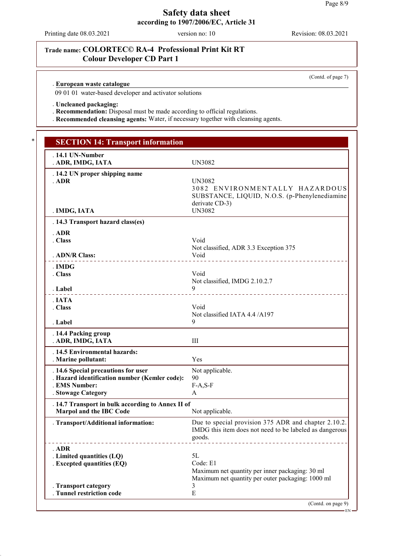Printing date 08.03.2021 version no: 10 Revision: 08.03.2021

# **Trade name: COLORTEC© RA-4 Professional Print Kit RT Colour Developer CD Part 1**

(Contd. of page 7)

**European waste catalogue** .

09 01 01 water-based developer and activator solutions

. **Uncleaned packaging:**

. **Recommendation:** Disposal must be made according to official regulations.

. **Recommended cleansing agents:** Water, if necessary together with cleansing agents.

| $.14.1$ UN-Number<br>. ADR, IMDG, IATA                  | UN3082                                                                                                                       |
|---------------------------------------------------------|------------------------------------------------------------------------------------------------------------------------------|
| . 14.2 UN proper shipping name<br>. ADR<br>. IMDG, IATA | UN3082<br>3082 ENVIRONMENTALLY HAZARDOUS<br>SUBSTANCE, LIQUID, N.O.S. (p-Phenylenediamine<br>derivate CD-3)<br><b>UN3082</b> |
| . 14.3 Transport hazard class(es)                       |                                                                                                                              |
| $.$ ADR                                                 |                                                                                                                              |
| . Class                                                 | Void<br>Not classified, ADR 3.3 Exception 375                                                                                |
| . ADN/R Class:                                          | Void<br>________________________                                                                                             |
| . IMDG<br>. Class                                       | Void                                                                                                                         |
| . Label<br>.                                            | Not classified, IMDG 2.10.2.7<br>9<br>______________________________                                                         |
| . IATA<br>. Class                                       | Void<br>Not classified IATA 4.4 /A197                                                                                        |
| . Label                                                 | 9                                                                                                                            |
| . 14.4 Packing group<br>. ADR, IMDG, IATA               | III                                                                                                                          |
| . 14.5 Environmental hazards:<br>. Marine pollutant:    | Yes                                                                                                                          |
| . 14.6 Special precautions for user                     | Not applicable.                                                                                                              |
| . Hazard identification number (Kemler code):           | 90                                                                                                                           |
| . EMS Number:<br>. Stowage Category                     | $F-A, S-F$<br>A                                                                                                              |
| . 14.7 Transport in bulk according to Annex II of       |                                                                                                                              |
| Marpol and the IBC Code                                 | Not applicable.                                                                                                              |
| . Transport/Additional information:                     | Due to special provision 375 ADR and chapter 2.10.2.<br>IMDG this item does not need to be labeled as dangerous<br>goods.    |
| . ADR                                                   |                                                                                                                              |
| . Limited quantities (LQ)                               | 5L                                                                                                                           |
| . Excepted quantities (EQ)                              | Code: E1<br>Maximum net quantity per inner packaging: 30 ml<br>Maximum net quantity per outer packaging: 1000 ml             |
| . Transport category<br>. Tunnel restriction code       | 3<br>${\bf E}$                                                                                                               |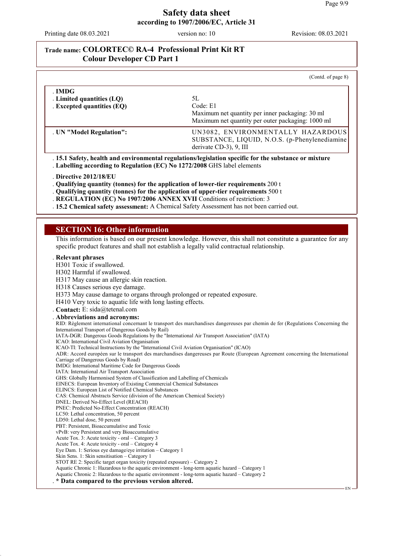EN

### **Safety data sheet according to 1907/2006/EC, Article 31**

Printing date 08.03.2021 version no: 10 Revision: 08.03.2021

### **Trade name: COLORTEC© RA-4 Professional Print Kit RT Colour Developer CD Part 1**

|                                                                   | (Contd. of page 8)                                                                                                     |
|-------------------------------------------------------------------|------------------------------------------------------------------------------------------------------------------------|
| . IMDG<br>. Limited quantities (LQ)<br>. Excepted quantities (EQ) | 5L<br>Code: E1<br>Maximum net quantity per inner packaging: 30 ml<br>Maximum net quantity per outer packaging: 1000 ml |
| . UN "Model Regulation":                                          | UN3082, ENVIRONMENTALLY HAZARDOUS<br>SUBSTANCE, LIQUID, N.O.S. (p-Phenylenediamine<br>derivate CD-3), 9, III           |

. **15.1 Safety, health and environmental regulations/legislation specific for the substance or mixture** . **Labelling according to Regulation (EC) No 1272/2008** GHS label elements

. **Directive 2012/18/EU**

. **Qualifying quantity (tonnes) for the application of lower-tier requirements** 200 t

. **Qualifying quantity (tonnes) for the application of upper-tier requirements** 500 t

. **REGULATION (EC) No 1907/2006 ANNEX XVII** Conditions of restriction: 3

. **15.2 Chemical safety assessment:** A Chemical Safety Assessment has not been carried out.

### **SECTION 16: Other information**

This information is based on our present knowledge. However, this shall not constitute a guarantee for any specific product features and shall not establish a legally valid contractual relationship.

#### . **Relevant phrases**

H301 Toxic if swallowed.

H302 Harmful if swallowed.

H317 May cause an allergic skin reaction.

H318 Causes serious eye damage.

H373 May cause damage to organs through prolonged or repeated exposure.

H410 Very toxic to aquatic life with long lasting effects.

. **Contact:** E: sida@tetenal.com . **Abbreviations and acronyms:** RID: Règlement international concernant le transport des marchandises dangereuses par chemin de fer (Regulations Concerning the International Transport of Dangerous Goods by Rail) IATA-DGR: Dangerous Goods Regulations by the "International Air Transport Association" (IATA) ICAO: International Civil Aviation Organisation ICAO-TI: Technical Instructions by the "International Civil Aviation Organisation" (ICAO) ADR: Accord européen sur le transport des marchandises dangereuses par Route (European Agreement concerning the International Carriage of Dangerous Goods by Road) IMDG: International Maritime Code for Dangerous Goods IATA: International Air Transport Association GHS: Globally Harmonised System of Classification and Labelling of Chemicals EINECS: European Inventory of Existing Commercial Chemical Substances ELINCS: European List of Notified Chemical Substances CAS: Chemical Abstracts Service (division of the American Chemical Society) DNEL: Derived No-Effect Level (REACH) PNEC: Predicted No-Effect Concentration (REACH) LC50: Lethal concentration, 50 percent LD50: Lethal dose, 50 percent PBT: Persistent, Bioaccumulative and Toxic vPvB: very Persistent and very Bioaccumulative Acute Tox. 3: Acute toxicity - oral – Category 3 Acute Tox. 4: Acute toxicity - oral – Category 4 Eye Dam. 1: Serious eye damage/eye irritation – Category 1 Skin Sens. 1: Skin sensitisation – Category 1 STOT RE 2: Specific target organ toxicity (repeated exposure) – Category 2 Aquatic Chronic 1: Hazardous to the aquatic environment - long-term aquatic hazard – Category 1 Aquatic Chronic 2: Hazardous to the aquatic environment - long-term aquatic hazard – Category 2 . **\* Data compared to the previous version altered.**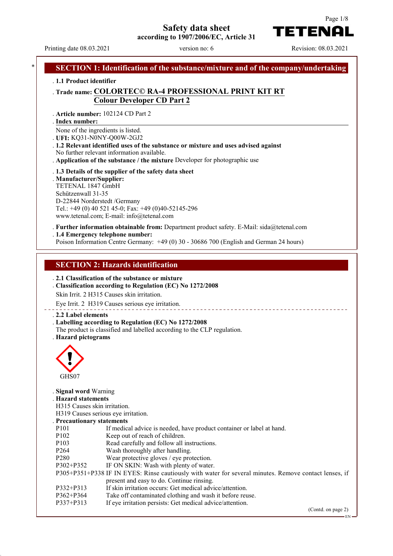**Safety data sheet**



**according to 1907/2006/EC, Article 31**

Printing date 08.03.2021 version no: 6 Revision: 08.03.2021

| . 1.1 Product identifier                         |                                                                                                                                                                                                                                |
|--------------------------------------------------|--------------------------------------------------------------------------------------------------------------------------------------------------------------------------------------------------------------------------------|
|                                                  | . Trade name: COLORTEC© RA-4 PROFESSIONAL PRINT KIT RT                                                                                                                                                                         |
|                                                  | <b>Colour Developer CD Part 2</b>                                                                                                                                                                                              |
|                                                  |                                                                                                                                                                                                                                |
|                                                  | . Article number: 102124 CD Part 2                                                                                                                                                                                             |
| . Index number:                                  |                                                                                                                                                                                                                                |
|                                                  | None of the ingredients is listed.                                                                                                                                                                                             |
|                                                  | . UFI: KQ31-N0NY-Q00W-2GJ2                                                                                                                                                                                                     |
|                                                  | . 1.2 Relevant identified uses of the substance or mixture and uses advised against<br>No further relevant information available.                                                                                              |
|                                                  | . Application of the substance / the mixture Developer for photographic use                                                                                                                                                    |
|                                                  |                                                                                                                                                                                                                                |
| . Manufacturer/Supplier:                         | . 1.3 Details of the supplier of the safety data sheet                                                                                                                                                                         |
| TETENAL 1847 GmbH                                |                                                                                                                                                                                                                                |
| Schützenwall 31-35                               |                                                                                                                                                                                                                                |
|                                                  | D-22844 Norderstedt /Germany                                                                                                                                                                                                   |
|                                                  | Tel.: +49 (0) 40 521 45-0; Fax: +49 (0)40-52145-296                                                                                                                                                                            |
|                                                  | www.tetenal.com; E-mail: info@tetenal.com                                                                                                                                                                                      |
|                                                  | . Further information obtainable from: Department product safety. E-Mail: sida@tetenal.com                                                                                                                                     |
|                                                  | . 1.4 Emergency telephone number:                                                                                                                                                                                              |
|                                                  | Poison Information Centre Germany: +49 (0) 30 - 30686 700 (English and German 24 hours)                                                                                                                                        |
|                                                  |                                                                                                                                                                                                                                |
|                                                  | Classification according to Regulation (EC) No 1272/2008<br>Skin Irrit. 2 H315 Causes skin irritation.                                                                                                                         |
|                                                  |                                                                                                                                                                                                                                |
|                                                  | Eye Irrit. 2 H319 Causes serious eye irritation.                                                                                                                                                                               |
|                                                  |                                                                                                                                                                                                                                |
|                                                  | . Labelling according to Regulation (EC) No 1272/2008                                                                                                                                                                          |
|                                                  | The product is classified and labelled according to the CLP regulation.                                                                                                                                                        |
|                                                  |                                                                                                                                                                                                                                |
| . 2.2 Label elements<br>. Hazard pictograms<br>⌒ |                                                                                                                                                                                                                                |
|                                                  |                                                                                                                                                                                                                                |
|                                                  |                                                                                                                                                                                                                                |
|                                                  |                                                                                                                                                                                                                                |
| GHS07                                            |                                                                                                                                                                                                                                |
| . Signal word Warning                            |                                                                                                                                                                                                                                |
| . Hazard statements                              |                                                                                                                                                                                                                                |
| H315 Causes skin irritation.                     |                                                                                                                                                                                                                                |
|                                                  | H319 Causes serious eye irritation.                                                                                                                                                                                            |
|                                                  |                                                                                                                                                                                                                                |
| . Precautionary statements<br>P <sub>10</sub> 1  | If medical advice is needed, have product container or label at hand.                                                                                                                                                          |
| P102                                             | Keep out of reach of children.                                                                                                                                                                                                 |
|                                                  | Read carefully and follow all instructions.                                                                                                                                                                                    |
| P103<br>P264                                     | Wash thoroughly after handling.                                                                                                                                                                                                |
| P <sub>280</sub><br>$P302 + P352$                | Wear protective gloves / eye protection.                                                                                                                                                                                       |
|                                                  | IF ON SKIN: Wash with plenty of water.                                                                                                                                                                                         |
|                                                  | present and easy to do. Continue rinsing.                                                                                                                                                                                      |
| P332+P313                                        | If skin irritation occurs: Get medical advice/attention.                                                                                                                                                                       |
| P362+P364<br>P337+P313                           | P305+P351+P338 IF IN EYES: Rinse cautiously with water for several minutes. Remove contact lenses, if<br>Take off contaminated clothing and wash it before reuse.<br>If eye irritation persists: Get medical advice/attention. |

(Contd. on page 2)

 $-EN$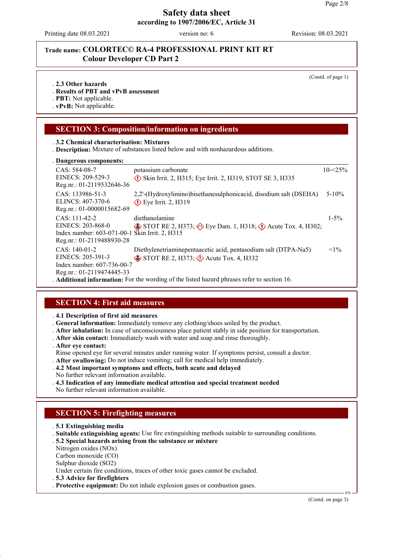Printing date 08.03.2021 version no: 6 Revision: 08.03.2021

# **Trade name: COLORTEC© RA-4 PROFESSIONAL PRINT KIT RT Colour Developer CD Part 2**

(Contd. of page 1)

#### . **2.3 Other hazards**

. **Results of PBT and vPvB assessment**

. **PBT:** Not applicable.

. **vPvB:** Not applicable.

# **SECTION 3: Composition/information on ingredients**

. **3.2 Chemical characterisation: Mixtures**

. **Description:** Mixture of substances listed below and with nonhazardous additions.

#### **Dangerous components:** .

| 2.44                                                                                                                |                                                                                                                                                                                                                                                                                                                     |             |
|---------------------------------------------------------------------------------------------------------------------|---------------------------------------------------------------------------------------------------------------------------------------------------------------------------------------------------------------------------------------------------------------------------------------------------------------------|-------------|
| CAS: 584-08-7<br>EINECS: 209-529-3<br>Reg.nr.: 01-2119532646-36                                                     | potassium carbonate<br>$\Diamond$ Skin Irrit. 2, H315; Eye Irrit. 2, H319; STOT SE 3, H335                                                                                                                                                                                                                          | $10 - 25\%$ |
| CAS: 133986-51-3<br>ELINCS: 407-370-6<br>Reg.nr.: 01-0000015682-69                                                  | 2,2'-(Hydroxylimino) bisethanes ulphonicacid, disodium salt (DSEHA)<br>$\diamond$ Eye Irrit. 2, H319                                                                                                                                                                                                                | $5 - 10\%$  |
| $CAS: 111-42-2$<br>EINECS: 203-868-0<br>Index number: 603-071-00-1 Skin Irrit. 2, H315<br>Reg.nr.: 01-2119488930-28 | diethanolamine<br>$\circledast$ STOT RE 2, H373; $\circledast$ Eye Dam. 1, H318; $\circledast$ Acute Tox. 4, H302;                                                                                                                                                                                                  | $1 - 5\%$   |
| $CAS: 140-01-2$<br>EINECS: 205-391-3<br>Index number: 607-736-00-7<br>Reg.nr.: 01-2119474445-33                     | Diethylenetriaminepentaacetic acid, pentasodium salt (DTPA-Na5)<br>$\diamond$ STOT RE 2, H373; $\diamond$ Acute Tox. 4, H332<br>$\lambda$ and $\lambda$ and $\lambda$ and $\lambda$ and $\lambda$ and $\lambda$ are considered in the contract of $\lambda$ and $\lambda$ and $\lambda$ and $\lambda$ and $\lambda$ | $<1\%$      |

. **Additional information:** For the wording of the listed hazard phrases refer to section 16.

### **SECTION 4: First aid measures**

. **4.1 Description of first aid measures**

. **General information:** Immediately remove any clothing/shoes soiled by the product.

- . **After inhalation:** In case of unconsciousness place patient stably in side position for transportation.
- . **After skin contact:** Immediately wash with water and soap and rinse thoroughly.
- . **After eye contact:**

Rinse opened eye for several minutes under running water. If symptoms persist, consult a doctor.

- . **After swallowing:** Do not induce vomiting; call for medical help immediately.
- . **4.2 Most important symptoms and effects, both acute and delayed**
- No further relevant information available.
- . **4.3 Indication of any immediate medical attention and special treatment needed**
- No further relevant information available.

# **SECTION 5: Firefighting measures**

- . **5.1 Extinguishing media**
- . **Suitable extinguishing agents:** Use fire extinguishing methods suitable to surrounding conditions.
- . **5.2 Special hazards arising from the substance or mixture**
- Nitrogen oxides (NOx)
- Carbon monoxide (CO)
- Sulphur dioxide (SO2)

Under certain fire conditions, traces of other toxic gases cannot be excluded.

. **5.3 Advice for firefighters**

. **Protective equipment:** Do not inhale explosion gases or combustion gases.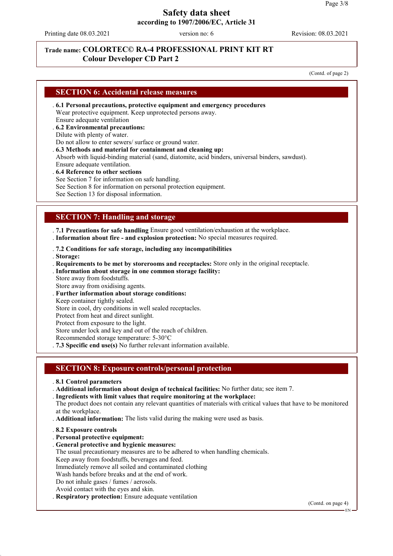Printing date 08.03.2021 version no: 6 Revision: 08.03.2021

# **Trade name: COLORTEC© RA-4 PROFESSIONAL PRINT KIT RT Colour Developer CD Part 2**

(Contd. of page 2)

# **SECTION 6: Accidental release measures**

- . **6.1 Personal precautions, protective equipment and emergency procedures** Wear protective equipment. Keep unprotected persons away. Ensure adequate ventilation
- . **6.2 Environmental precautions:**
- Dilute with plenty of water.
- Do not allow to enter sewers/ surface or ground water.
- . **6.3 Methods and material for containment and cleaning up:**

Absorb with liquid-binding material (sand, diatomite, acid binders, universal binders, sawdust). Ensure adequate ventilation.

- . **6.4 Reference to other sections**
- See Section 7 for information on safe handling.
- See Section 8 for information on personal protection equipment.

See Section 13 for disposal information.

# **SECTION 7: Handling and storage**

. **7.1 Precautions for safe handling** Ensure good ventilation/exhaustion at the workplace.

- . **Information about fire and explosion protection:** No special measures required.
- . **7.2 Conditions for safe storage, including any incompatibilities**
- . **Storage:**
- . **Requirements to be met by storerooms and receptacles:** Store only in the original receptacle.
- . **Information about storage in one common storage facility:**
- Store away from foodstuffs.
- Store away from oxidising agents.
- . **Further information about storage conditions:**
- Keep container tightly sealed.
- Store in cool, dry conditions in well sealed receptacles.
- Protect from heat and direct sunlight.
- Protect from exposure to the light.

Store under lock and key and out of the reach of children.

- Recommended storage temperature: 5-30°C
- . **7.3 Specific end use(s)** No further relevant information available.

### **SECTION 8: Exposure controls/personal protection**

- . **8.1 Control parameters**
- . **Additional information about design of technical facilities:** No further data; see item 7.
- . **Ingredients with limit values that require monitoring at the workplace:**

The product does not contain any relevant quantities of materials with critical values that have to be monitored at the workplace.

- . **Additional information:** The lists valid during the making were used as basis.
- . **8.2 Exposure controls**
- . **Personal protective equipment:**
- . **General protective and hygienic measures:**

The usual precautionary measures are to be adhered to when handling chemicals.

Keep away from foodstuffs, beverages and feed.

Immediately remove all soiled and contaminated clothing

- Wash hands before breaks and at the end of work.
- Do not inhale gases / fumes / aerosols.
- Avoid contact with the eyes and skin.
- . **Respiratory protection:** Ensure adequate ventilation

(Contd. on page 4)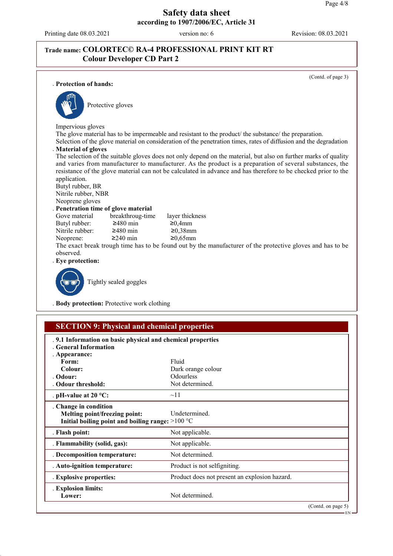Printing date 08.03.2021 version no: 6 Revision: 08.03.2021

# **Trade name: COLORTEC© RA-4 PROFESSIONAL PRINT KIT RT Colour Developer CD Part 2**

(Contd. of page 3) . **Protection of hands:** Protective gloves Impervious gloves The glove material has to be impermeable and resistant to the product/ the substance/ the preparation. Selection of the glove material on consideration of the penetration times, rates of diffusion and the degradation . **Material of gloves** The selection of the suitable gloves does not only depend on the material, but also on further marks of quality and varies from manufacturer to manufacturer. As the product is a preparation of several substances, the resistance of the glove material can not be calculated in advance and has therefore to be checked prior to the application. Butyl rubber, BR Nitrile rubber, NBR Neoprene gloves **Penetration time of glove material**<br>Gove material breakthroug-time breakthroug-time layer thickness<br> $\geq 480$  min  $\geq 0.4$ mm Butyl rubber:  $\geq 480$  min  $\geq 0,4$ mm<br>Nitrile rubber:  $\geq 480$  min  $\geq 0,38$ mm Nitrile rubber: Neoprene:  $\geq 240$  min  $\geq 0.65$ mm The exact break trough time has to be found out by the manufacturer of the protective gloves and has to be observed. . **Eye protection:** Tightly sealed goggles

. **Body protection:** Protective work clothing

| <b>SECTION 9: Physical and chemical properties</b>                                                         |                                               |                       |
|------------------------------------------------------------------------------------------------------------|-----------------------------------------------|-----------------------|
| .9.1 Information on basic physical and chemical properties<br><b>General Information</b>                   |                                               |                       |
| . Appearance:                                                                                              |                                               |                       |
| Form:                                                                                                      | Fluid                                         |                       |
| Colour:                                                                                                    | Dark orange colour                            |                       |
| . Odour:                                                                                                   | <b>Odourless</b>                              |                       |
| . Odour threshold:                                                                                         | Not determined.                               |                       |
| . pH-value at $20 °C$ :                                                                                    | $\sim$ 11                                     |                       |
| Change in condition<br>Melting point/freezing point:<br>Initial boiling point and boiling range: $>100$ °C | <b>Undetermined</b>                           |                       |
| . Flash point:                                                                                             | Not applicable.                               |                       |
| . Flammability (solid, gas):                                                                               | Not applicable.                               |                       |
| . Decomposition temperature:                                                                               | Not determined.                               |                       |
| . Auto-ignition temperature:                                                                               | Product is not selfigniting.                  |                       |
| . Explosive properties:                                                                                    | Product does not present an explosion hazard. |                       |
| . Explosion limits:<br>Lower:                                                                              | Not determined.                               |                       |
|                                                                                                            |                                               | (Contd. on page $5$ ) |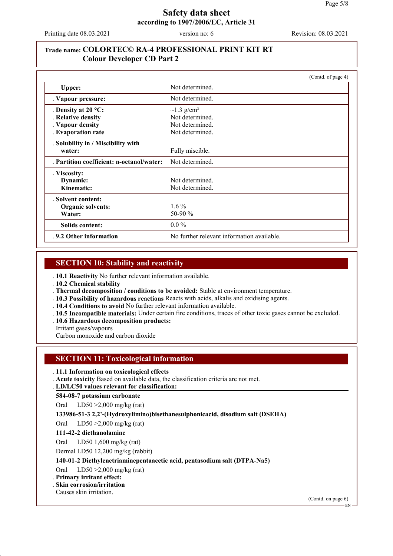Printing date 08.03.2021 version no: 6 Revision: 08.03.2021

# **Trade name: COLORTEC© RA-4 PROFESSIONAL PRINT KIT RT Colour Developer CD Part 2**

|                                           | (Contd. of page 4)                         |
|-------------------------------------------|--------------------------------------------|
| Upper:                                    | Not determined.                            |
| . Vapour pressure:                        | Not determined.                            |
| . Density at $20^{\circ}$ C:              | $\sim$ 1.3 g/cm <sup>3</sup>               |
| . Relative density                        | Not determined.                            |
| . Vapour density                          | Not determined.                            |
| . Evaporation rate                        | Not determined.                            |
| . Solubility in / Miscibility with        |                                            |
| water:                                    | Fully miscible.                            |
| . Partition coefficient: n-octanol/water: | Not determined.                            |
| . Viscosity:                              |                                            |
| Dynamic:                                  | Not determined.                            |
| Kinematic:                                | Not determined.                            |
| . Solvent content:                        |                                            |
| Organic solvents:                         | $1.6\%$                                    |
| Water:                                    | 50-90 %                                    |
| Solids content:                           | $0.0\%$                                    |
| .9.2 Other information                    | No further relevant information available. |

### **SECTION 10: Stability and reactivity**

. **10.1 Reactivity** No further relevant information available.

. **10.2 Chemical stability**

. **Thermal decomposition / conditions to be avoided:** Stable at environment temperature.

. **10.3 Possibility of hazardous reactions** Reacts with acids, alkalis and oxidising agents.

. **10.4 Conditions to avoid** No further relevant information available.

. **10.5 Incompatible materials:** Under certain fire conditions, traces of other toxic gases cannot be excluded.

. **10.6 Hazardous decomposition products:**

Irritant gases/vapours

Carbon monoxide and carbon dioxide

# **SECTION 11: Toxicological information**

#### . **11.1 Information on toxicological effects**

. **Acute toxicity** Based on available data, the classification criteria are not met.

**LD/LC50 values relevant for classification:** .

**584-08-7 potassium carbonate**

Oral LD50 >2,000 mg/kg (rat)

**133986-51-3 2,2'-(Hydroxylimino)bisethanesulphonicacid, disodium salt (DSEHA)**

Oral LD50 >2,000 mg/kg (rat)

#### **111-42-2 diethanolamine**

Oral LD50 1,600 mg/kg (rat)

Dermal LD50 12,200 mg/kg (rabbit)

**140-01-2 Diethylenetriaminepentaacetic acid, pentasodium salt (DTPA-Na5)**

Oral LD50 >2,000 mg/kg (rat)

#### . **Primary irritant effect:**

. **Skin corrosion/irritation**

Causes skin irritation.

(Contd. on page 6)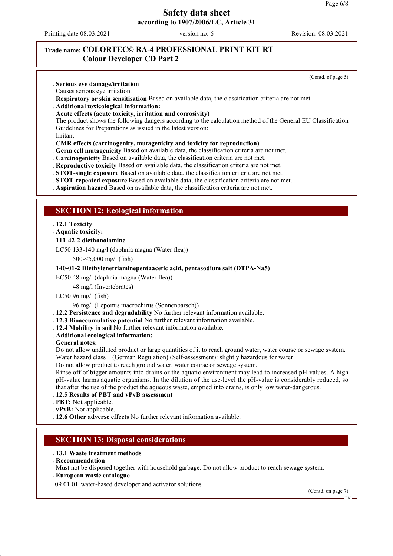Printing date 08.03.2021 version no: 6 Revision: 08.03.2021

(Contd. of page 5)

# **Trade name: COLORTEC© RA-4 PROFESSIONAL PRINT KIT RT Colour Developer CD Part 2**

#### . **Serious eye damage/irritation**

- Causes serious eye irritation.
- . **Respiratory or skin sensitisation** Based on available data, the classification criteria are not met.
- . **Additional toxicological information:**

#### . **Acute effects (acute toxicity, irritation and corrosivity)**

The product shows the following dangers according to the calculation method of the General EU Classification Guidelines for Preparations as issued in the latest version:

Irritant

#### . **CMR effects (carcinogenity, mutagenicity and toxicity for reproduction)**

- . **Germ cell mutagenicity** Based on available data, the classification criteria are not met.
- . **Carcinogenicity** Based on available data, the classification criteria are not met.
- . **Reproductive toxicity** Based on available data, the classification criteria are not met.
- . **STOT-single exposure** Based on available data, the classification criteria are not met.
- . **STOT-repeated exposure** Based on available data, the classification criteria are not met.
- . **Aspiration hazard** Based on available data, the classification criteria are not met.

### **SECTION 12: Ecological information**

#### . **12.1 Toxicity**

**Aquatic toxicity:** .

#### **111-42-2 diethanolamine**

LC50 133-140 mg/l (daphnia magna (Water flea))

500-<5,000 mg/l (fish)

#### **140-01-2 Diethylenetriaminepentaacetic acid, pentasodium salt (DTPA-Na5)**

EC50 48 mg/l (daphnia magna (Water flea))

48 mg/l (Invertebrates)

#### LC50 96 mg/l (fish)

96 mg/l (Lepomis macrochirus (Sonnenbarsch))

- . **12.2 Persistence and degradability** No further relevant information available.
- . **12.3 Bioaccumulative potential** No further relevant information available.
- . **12.4 Mobility in soil** No further relevant information available.
- . **Additional ecological information:**
- . **General notes:**

Do not allow undiluted product or large quantities of it to reach ground water, water course or sewage system. Water hazard class 1 (German Regulation) (Self-assessment): slightly hazardous for water

Do not allow product to reach ground water, water course or sewage system.

Rinse off of bigger amounts into drains or the aquatic environment may lead to increased pH-values. A high pH-value harms aquatic organisms. In the dilution of the use-level the pH-value is considerably reduced, so that after the use of the product the aqueous waste, emptied into drains, is only low water-dangerous.

- . **12.5 Results of PBT and vPvB assessment**
- . **PBT:** Not applicable.
- . **vPvB:** Not applicable.
- . **12.6 Other adverse effects** No further relevant information available.

### **SECTION 13: Disposal considerations**

#### . **13.1 Waste treatment methods**

. **Recommendation**

Must not be disposed together with household garbage. Do not allow product to reach sewage system. **European waste catalogue** .

09 01 01 water-based developer and activator solutions

(Contd. on page 7)

EN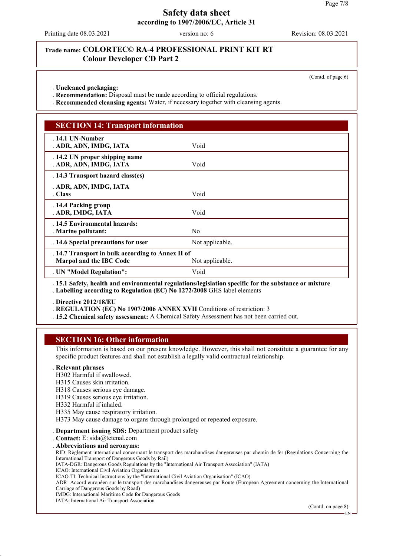Printing date 08.03.2021 version no: 6 Revision: 08.03.2021

### **Trade name: COLORTEC© RA-4 PROFESSIONAL PRINT KIT RT Colour Developer CD Part 2**

(Contd. of page 6)

. **Uncleaned packaging:**

. **Recommendation:** Disposal must be made according to official regulations.

. **Recommended cleansing agents:** Water, if necessary together with cleansing agents.

# **SECTION 14: Transport information**

| . 14.1 UN-Number                                  |                                                                                                     |  |
|---------------------------------------------------|-----------------------------------------------------------------------------------------------------|--|
| . ADR, ADN, IMDG, IATA                            | Void                                                                                                |  |
|                                                   |                                                                                                     |  |
| . 14.2 UN proper shipping name                    |                                                                                                     |  |
|                                                   |                                                                                                     |  |
| . ADR, ADN, IMDG, IATA                            | Void                                                                                                |  |
| . 14.3 Transport hazard class(es)                 |                                                                                                     |  |
|                                                   |                                                                                                     |  |
| . ADR, ADN, IMDG, IATA                            |                                                                                                     |  |
| . Class                                           | Void                                                                                                |  |
|                                                   |                                                                                                     |  |
| . 14.4 Packing group                              |                                                                                                     |  |
| . ADR, IMDG, IATA                                 | Void                                                                                                |  |
|                                                   |                                                                                                     |  |
| . 14.5 Environmental hazards:                     |                                                                                                     |  |
| Marine pollutant:                                 | N <sub>0</sub>                                                                                      |  |
|                                                   |                                                                                                     |  |
| . 14.6 Special precautions for user               | Not applicable.                                                                                     |  |
| . 14.7 Transport in bulk according to Annex II of |                                                                                                     |  |
| <b>Marpol and the IBC Code</b>                    | Not applicable.                                                                                     |  |
|                                                   |                                                                                                     |  |
| . UN "Model Regulation":                          | Void                                                                                                |  |
|                                                   |                                                                                                     |  |
|                                                   | 15.1 Safety, health and environmental regulations/legislation specific for the substance or mixture |  |

. **15.1 Safety, health and environmental regulations/legislation specific for the substance or mixture** . **Labelling according to Regulation (EC) No 1272/2008** GHS label elements

. **Directive 2012/18/EU**

. **REGULATION (EC) No 1907/2006 ANNEX XVII** Conditions of restriction: 3

. **15.2 Chemical safety assessment:** A Chemical Safety Assessment has not been carried out.

### **SECTION 16: Other information**

This information is based on our present knowledge. However, this shall not constitute a guarantee for any specific product features and shall not establish a legally valid contractual relationship.

### . **Relevant phrases**

H302 Harmful if swallowed.

- H315 Causes skin irritation.
- H318 Causes serious eye damage.
- H319 Causes serious eye irritation.
- H332 Harmful if inhaled.
- H335 May cause respiratory irritation.

H373 May cause damage to organs through prolonged or repeated exposure.

- . **Department issuing SDS:** Department product safety
- . **Contact:** E: sida@tetenal.com

. **Abbreviations and acronyms:**

RID: Règlement international concernant le transport des marchandises dangereuses par chemin de fer (Regulations Concerning the International Transport of Dangerous Goods by Rail)

IATA-DGR: Dangerous Goods Regulations by the "International Air Transport Association" (IATA)

ICAO: International Civil Aviation Organisation

ICAO-TI: Technical Instructions by the "International Civil Aviation Organisation" (ICAO)

ADR: Accord européen sur le transport des marchandises dangereuses par Route (European Agreement concerning the International Carriage of Dangerous Goods by Road)

IMDG: International Maritime Code for Dangerous Goods

IATA: International Air Transport Association

(Contd. on page 8)

EN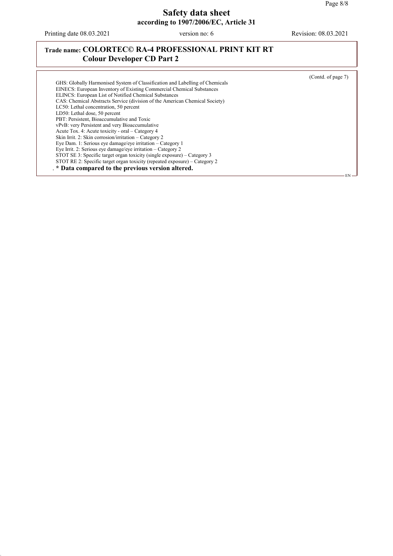EN

# **Safety data sheet according to 1907/2006/EC, Article 31**

Printing date 08.03.2021 version no: 6 Revision: 08.03.2021

# **Trade name: COLORTEC© RA-4 PROFESSIONAL PRINT KIT RT Colour Developer CD Part 2**

(Contd. of page 7) GHS: Globally Harmonised System of Classification and Labelling of Chemicals EINECS: European Inventory of Existing Commercial Chemical Substances ELINCS: European List of Notified Chemical Substances CAS: Chemical Abstracts Service (division of the American Chemical Society) LC50: Lethal concentration, 50 percent LD50: Lethal dose, 50 percent PBT: Persistent, Bioaccumulative and Toxic vPvB: very Persistent and very Bioaccumulative Acute Tox. 4: Acute toxicity - oral – Category 4 Skin Irrit. 2: Skin corrosion/irritation – Category 2 Eye Dam. 1: Serious eye damage/eye irritation – Category 1 Eye Irrit. 2: Serious eye damage/eye irritation – Category 2 STOT SE 3: Specific target organ toxicity (single exposure) – Category 3 STOT RE 2: Specific target organ toxicity (repeated exposure) – Category 2 . **\* Data compared to the previous version altered.**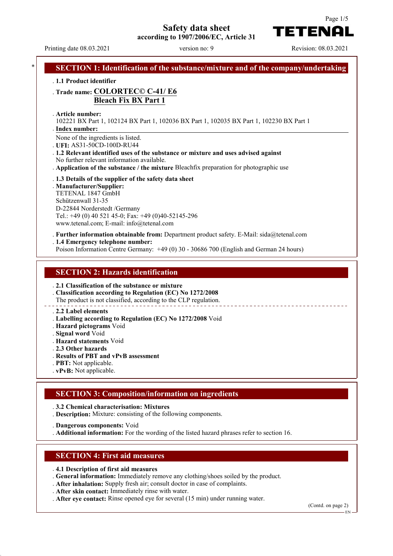# **Safety data sheet**

**according to 1907/2006/EC, Article 31**

Printing date 08.03.2021 version no: 9 Revision: 08.03.2021

TETENAI

Page 1/5

| <b>Bleach Fix BX Part 1</b>                                                                                                      |
|----------------------------------------------------------------------------------------------------------------------------------|
| . Article number:<br>102221 BX Part 1, 102124 BX Part 1, 102036 BX Part 1, 102035 BX Part 1, 102230 BX Part 1<br>. Index number: |
| None of the ingredients is listed.                                                                                               |
| UFI: AS31-50CD-100D-RU44<br>. 1.2 Relevant identified uses of the substance or mixture and uses advised against                  |
| No further relevant information available.                                                                                       |
| Application of the substance / the mixture Bleachfix preparation for photographic use                                            |
| . 1.3 Details of the supplier of the safety data sheet                                                                           |
| . Manufacturer/Supplier:<br>TETENAL 1847 GmbH                                                                                    |
| Schützenwall 31-35                                                                                                               |
| D-22844 Norderstedt /Germany                                                                                                     |
| Tel.: +49 (0) 40 521 45-0; Fax: +49 (0)40-52145-296                                                                              |
| www.tetenal.com; E-mail: info@tetenal.com                                                                                        |
| . Further information obtainable from: Department product safety. E-Mail: $sida@tetenal.com$                                     |
| .1.4 Emergency telephone number:                                                                                                 |
| Poison Information Centre Germany: +49 (0) 30 - 30686 700 (English and German 24 hours)                                          |
|                                                                                                                                  |
| <b>SECTION 2: Hazards identification</b>                                                                                         |

#### . **2.2 Label elements**

- . **Labelling according to Regulation (EC) No 1272/2008** Void
- . **Hazard pictograms** Void
- . **Signal word** Void
- . **Hazard statements** Void
- . **2.3 Other hazards**
- . **Results of PBT and vPvB assessment**
- . **PBT:** Not applicable.
- . **vPvB:** Not applicable.

### **SECTION 3: Composition/information on ingredients**

. **3.2 Chemical characterisation: Mixtures**

. **Description:** Mixture: consisting of the following components.

. **Dangerous components:** Void

. **Additional information:** For the wording of the listed hazard phrases refer to section 16.

### **SECTION 4: First aid measures**

- . **4.1 Description of first aid measures**
- . **General information:** Immediately remove any clothing/shoes soiled by the product.
- . **After inhalation:** Supply fresh air; consult doctor in case of complaints.
- . **After skin contact:** Immediately rinse with water.
- . **After eye contact:** Rinse opened eye for several (15 min) under running water.

(Contd. on page 2)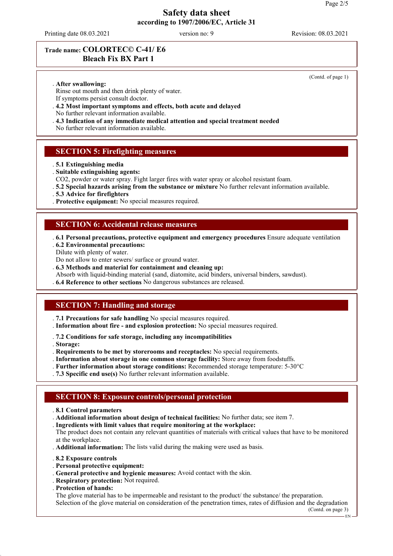Printing date 08.03.2021 version no: 9 Revision: 08.03.2021

(Contd. of page 1)

# **Trade name: COLORTEC© C-41/ E6 Bleach Fix BX Part 1**

. **After swallowing:**

Rinse out mouth and then drink plenty of water.

- If symptoms persist consult doctor.
- . **4.2 Most important symptoms and effects, both acute and delayed**
- No further relevant information available.
- . **4.3 Indication of any immediate medical attention and special treatment needed**

No further relevant information available.

# **SECTION 5: Firefighting measures**

- . **5.1 Extinguishing media**
- . **Suitable extinguishing agents:**
- CO2, powder or water spray. Fight larger fires with water spray or alcohol resistant foam.
- . **5.2 Special hazards arising from the substance or mixture** No further relevant information available.
- . **5.3 Advice for firefighters**
- . **Protective equipment:** No special measures required.

# **SECTION 6: Accidental release measures**

- . **6.1 Personal precautions, protective equipment and emergency procedures** Ensure adequate ventilation . **6.2 Environmental precautions:**
- Dilute with plenty of water.
- Do not allow to enter sewers/ surface or ground water.
- . **6.3 Methods and material for containment and cleaning up:**
- Absorb with liquid-binding material (sand, diatomite, acid binders, universal binders, sawdust).
- . **6.4 Reference to other sections** No dangerous substances are released.

# **SECTION 7: Handling and storage**

- . **7.1 Precautions for safe handling** No special measures required.
- . **Information about fire and explosion protection:** No special measures required.
- . **7.2 Conditions for safe storage, including any incompatibilities**
- . **Storage:**
- . **Requirements to be met by storerooms and receptacles:** No special requirements.
- . **Information about storage in one common storage facility:** Store away from foodstuffs.
- . **Further information about storage conditions:** Recommended storage temperature: 5-30°C
- . **7.3 Specific end use(s)** No further relevant information available.

### **SECTION 8: Exposure controls/personal protection**

- . **8.1 Control parameters**
- . **Additional information about design of technical facilities:** No further data; see item 7.
- . **Ingredients with limit values that require monitoring at the workplace:**
- The product does not contain any relevant quantities of materials with critical values that have to be monitored at the workplace.
- . **Additional information:** The lists valid during the making were used as basis.
- . **8.2 Exposure controls**
- . **Personal protective equipment:**
- . **General protective and hygienic measures:** Avoid contact with the skin.
- . **Respiratory protection:** Not required.
- . **Protection of hands:**

The glove material has to be impermeable and resistant to the product/ the substance/ the preparation. Selection of the glove material on consideration of the penetration times, rates of diffusion and the degradation

(Contd. on page 3)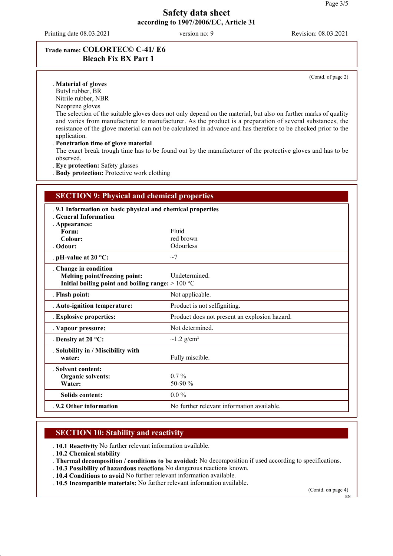Printing date 08.03.2021 version no: 9 Revision: 08.03.2021

(Contd. of page 2)

# **Trade name: COLORTEC© C-41/ E6 Bleach Fix BX Part 1**

#### . **Material of gloves**

Butyl rubber, BR

Nitrile rubber, NBR

Neoprene gloves

The selection of the suitable gloves does not only depend on the material, but also on further marks of quality and varies from manufacturer to manufacturer. As the product is a preparation of several substances, the resistance of the glove material can not be calculated in advance and has therefore to be checked prior to the application.

#### . **Penetration time of glove material**

The exact break trough time has to be found out by the manufacturer of the protective gloves and has to be observed.

. **Eye protection:** Safety glasses

. **Body protection:** Protective work clothing

| <b>SECTION 9: Physical and chemical properties</b>                                                           |                                               |  |
|--------------------------------------------------------------------------------------------------------------|-----------------------------------------------|--|
| .9.1 Information on basic physical and chemical properties<br>. General Information<br>. Appearance:         |                                               |  |
| Form:                                                                                                        | Fluid                                         |  |
| Colour:                                                                                                      | red brown                                     |  |
| . Odour:                                                                                                     | Odourless                                     |  |
| . pH-value at $20 °C$ :                                                                                      | $\sim$ 7                                      |  |
| . Change in condition<br>Melting point/freezing point:<br>Initial boiling point and boiling range: $>100 °C$ | <b>Undetermined</b>                           |  |
| . Flash point:                                                                                               | Not applicable.                               |  |
| . Auto-ignition temperature:                                                                                 | Product is not selfigniting.                  |  |
| . Explosive properties:                                                                                      | Product does not present an explosion hazard. |  |
| . Vapour pressure:                                                                                           | Not determined.                               |  |
| . Density at $20^{\circ}$ C:                                                                                 | $\sim$ 1.2 g/cm <sup>3</sup>                  |  |
| . Solubility in / Miscibility with<br>water:                                                                 | Fully miscible.                               |  |
| . Solvent content:<br>Organic solvents:<br>Water:                                                            | $0.7\%$<br>50-90 $\%$                         |  |
| <b>Solids content:</b>                                                                                       | $0.0\%$                                       |  |
| .9.2 Other information                                                                                       | No further relevant information available.    |  |

### **SECTION 10: Stability and reactivity**

. **10.1 Reactivity** No further relevant information available.

. **10.2 Chemical stability**

. **Thermal decomposition / conditions to be avoided:** No decomposition if used according to specifications.

- . **10.3 Possibility of hazardous reactions** No dangerous reactions known.
- . **10.4 Conditions to avoid** No further relevant information available.
- . **10.5 Incompatible materials:** No further relevant information available.

(Contd. on page 4)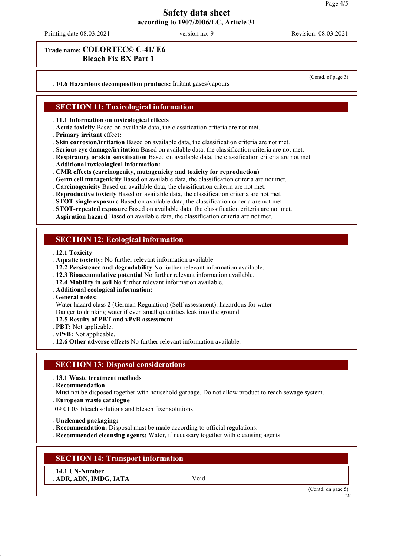Printing date 08.03.2021 version no: 9 Revision: 08.03.2021

(Contd. of page 3)

# **Trade name: COLORTEC© C-41/ E6 Bleach Fix BX Part 1**

. **10.6 Hazardous decomposition products:** Irritant gases/vapours

**SECTION 11: Toxicological information**

. **11.1 Information on toxicological effects**

- . **Acute toxicity** Based on available data, the classification criteria are not met.
- . **Primary irritant effect:**

. **Skin corrosion/irritation** Based on available data, the classification criteria are not met.

. **Serious eye damage/irritation** Based on available data, the classification criteria are not met.

. **Respiratory or skin sensitisation** Based on available data, the classification criteria are not met.

- . **Additional toxicological information:**
- . **CMR effects (carcinogenity, mutagenicity and toxicity for reproduction)**

. **Germ cell mutagenicity** Based on available data, the classification criteria are not met.

. **Carcinogenicity** Based on available data, the classification criteria are not met.

- . **Reproductive toxicity** Based on available data, the classification criteria are not met.
- . **STOT-single exposure** Based on available data, the classification criteria are not met.
- . **STOT-repeated exposure** Based on available data, the classification criteria are not met.

. **Aspiration hazard** Based on available data, the classification criteria are not met.

### **SECTION 12: Ecological information**

- . **12.1 Toxicity**
- . **Aquatic toxicity:** No further relevant information available.
- . **12.2 Persistence and degradability** No further relevant information available.
- . **12.3 Bioaccumulative potential** No further relevant information available.
- . **12.4 Mobility in soil** No further relevant information available.
- . **Additional ecological information:**

. **General notes:**

Water hazard class 2 (German Regulation) (Self-assessment): hazardous for water Danger to drinking water if even small quantities leak into the ground.

- . **12.5 Results of PBT and vPvB assessment**
- . **PBT:** Not applicable.
- . **vPvB:** Not applicable.
- . **12.6 Other adverse effects** No further relevant information available.

#### **SECTION 13: Disposal considerations**

#### . **13.1 Waste treatment methods**

. **Recommendation**

Must not be disposed together with household garbage. Do not allow product to reach sewage system. **European waste catalogue** .

09 01 05 bleach solutions and bleach fixer solutions

. **Uncleaned packaging:**

. **Recommendation:** Disposal must be made according to official regulations.

. **Recommended cleansing agents:** Water, if necessary together with cleansing agents.

### **SECTION 14: Transport information**

. **14.1 UN-Number** . **ADR, ADN, IMDG, IATA** Void

(Contd. on page 5)

EN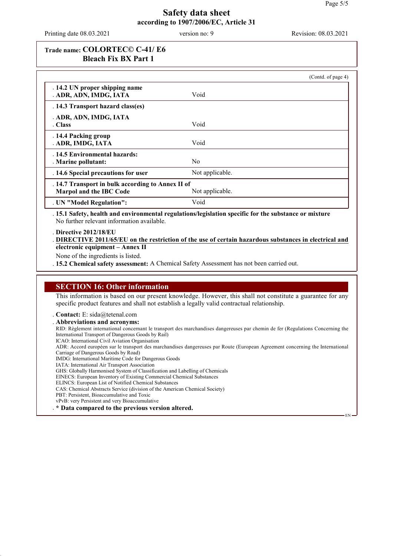Printing date 08.03.2021 version no: 9 Revision: 08.03.2021

# **Trade name: COLORTEC© C-41/ E6 Bleach Fix BX Part 1**

|                                                                              |                 | (Contd. of page 4) |
|------------------------------------------------------------------------------|-----------------|--------------------|
| . 14.2 UN proper shipping name<br>. ADR, ADN, IMDG, IATA                     | Void            |                    |
| . 14.3 Transport hazard class(es)                                            |                 |                    |
| . ADR, ADN, IMDG, IATA                                                       |                 |                    |
| . Class                                                                      | Void            |                    |
| . 14.4 Packing group<br>. ADR, IMDG, IATA                                    | Void            |                    |
| .14.5 Environmental hazards:<br>. Marine pollutant:                          | N <sub>0</sub>  |                    |
| . 14.6 Special precautions for user                                          | Not applicable. |                    |
| . 14.7 Transport in bulk according to Annex II of<br>Marpol and the IBC Code | Not applicable. |                    |
| . UN "Model Regulation":                                                     | Void            |                    |

. **15.1 Safety, health and environmental regulations/legislation specific for the substance or mixture** No further relevant information available.

. **Directive 2012/18/EU**

. DIRECTIVE 2011/65/EU on the restriction of the use of certain hazardous substances in electrical and **electronic equipment – Annex II**

None of the ingredients is listed.

. **15.2 Chemical safety assessment:** A Chemical Safety Assessment has not been carried out.

### **SECTION 16: Other information**

This information is based on our present knowledge. However, this shall not constitute a guarantee for any specific product features and shall not establish a legally valid contractual relationship.

. **Contact:** E: sida@tetenal.com

. **Abbreviations and acronyms:**

RID: Règlement international concernant le transport des marchandises dangereuses par chemin de fer (Regulations Concerning the International Transport of Dangerous Goods by Rail)

ICAO: International Civil Aviation Organisation

ADR: Accord européen sur le transport des marchandises dangereuses par Route (European Agreement concerning the International Carriage of Dangerous Goods by Road)

- IMDG: International Maritime Code for Dangerous Goods
- IATA: International Air Transport Association

GHS: Globally Harmonised System of Classification and Labelling of Chemicals

EINECS: European Inventory of Existing Commercial Chemical Substances

ELINCS: European List of Notified Chemical Substances

- CAS: Chemical Abstracts Service (division of the American Chemical Society)
- PBT: Persistent, Bioaccumulative and Toxic vPvB: very Persistent and very Bioaccumulative

. **\* Data compared to the previous version altered.**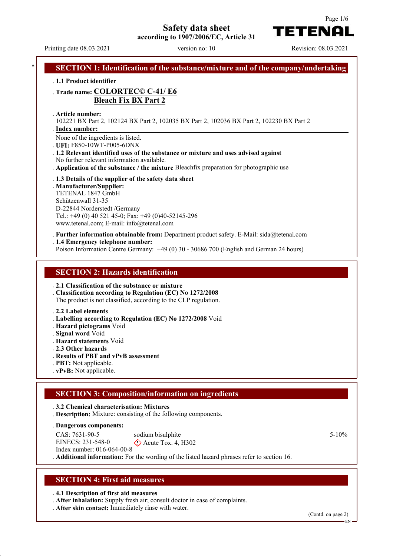**Safety data sheet**

**according to 1907/2006/EC, Article 31**

Printing date 08.03.2021 version no: 10 Revision: 08.03.2021

TETENAI

Page 1/6

| . 1.1 Product identifier                                                                                                  |                                                                                                                                                                                                                            |
|---------------------------------------------------------------------------------------------------------------------------|----------------------------------------------------------------------------------------------------------------------------------------------------------------------------------------------------------------------------|
|                                                                                                                           | . Trade name: COLORTEC© C-41/E6<br><b>Bleach Fix BX Part 2</b>                                                                                                                                                             |
| . Article number:<br>. Index number:                                                                                      | 102221 BX Part 2, 102124 BX Part 2, 102035 BX Part 2, 102036 BX Part 2, 102230 BX Part 2                                                                                                                                   |
|                                                                                                                           | None of the ingredients is listed.<br>UFI: F850-10WT-P005-6DNX                                                                                                                                                             |
|                                                                                                                           | .1.2 Relevant identified uses of the substance or mixture and uses advised against                                                                                                                                         |
|                                                                                                                           | No further relevant information available.<br>Application of the substance / the mixture Bleachfix preparation for photographic use                                                                                        |
| . Manufacturer/Supplier:<br>TETENAL 1847 GmbH<br>Schützenwall 31-35                                                       | . 1.3 Details of the supplier of the safety data sheet<br>D-22844 Norderstedt /Germany<br>Tel.: +49 (0) 40 521 45-0; Fax: +49 (0)40-52145-296<br>www.tetenal.com; E-mail: info@tetenal.com                                 |
|                                                                                                                           | . Further information obtainable from: Department product safety. E-Mail: sida@tetenal.com<br>. 1.4 Emergency telephone number:<br>Poison Information Centre Germany: +49 (0) 30 - 30686 700 (English and German 24 hours) |
|                                                                                                                           | <b>SECTION 2: Hazards identification</b>                                                                                                                                                                                   |
|                                                                                                                           | . 2.1 Classification of the substance or mixture<br>. Classification according to Regulation (EC) No 1272/2008<br>The product is not classified, according to the CLP regulation.                                          |
| . 2.2 Label elements<br>. Hazard pictograms Void<br>. Signal word Void<br>. Hazard statements Void<br>. 2.3 Other hazards | . Labelling according to Regulation (EC) No 1272/2008 Void                                                                                                                                                                 |

- . **Results of PBT and vPvB assessment**
- . **PBT:** Not applicable.
- . **vPvB:** Not applicable.

### **SECTION 3: Composition/information on ingredients**

. **3.2 Chemical characterisation: Mixtures**

. **Description:** Mixture: consisting of the following components.

**Dangerous components:** .

CAS: 7631-90-5 EINECS: 231-548-0 Index number: 016-064-00-8 sodium bisulphite  $\diamondsuit$  Acute Tox. 4, H302

# . **Additional information:** For the wording of the listed hazard phrases refer to section 16.

### **SECTION 4: First aid measures**

. **4.1 Description of first aid measures**

- . **After inhalation:** Supply fresh air; consult doctor in case of complaints.
- . **After skin contact:** Immediately rinse with water.

(Contd. on page 2)

5-10%

EN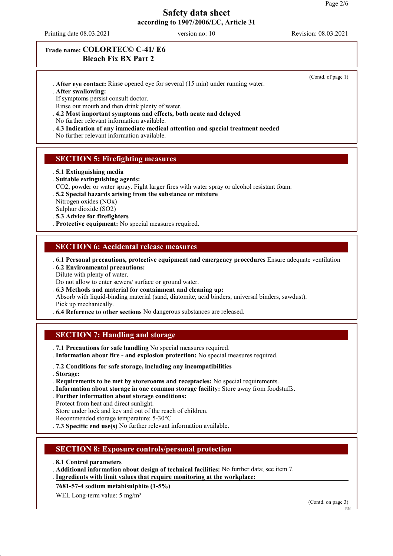Printing date 08.03.2021 version no: 10 Revision: 08.03.2021

# **Trade name: COLORTEC© C-41/ E6 Bleach Fix BX Part 2**

- . **After eye contact:** Rinse opened eye for several (15 min) under running water.
- . **After swallowing:**

If symptoms persist consult doctor.

Rinse out mouth and then drink plenty of water.

. **4.2 Most important symptoms and effects, both acute and delayed** No further relevant information available.

. **4.3 Indication of any immediate medical attention and special treatment needed**

No further relevant information available.

# **SECTION 5: Firefighting measures**

- . **5.1 Extinguishing media**
- . **Suitable extinguishing agents:**
- CO2, powder or water spray. Fight larger fires with water spray or alcohol resistant foam.
- . **5.2 Special hazards arising from the substance or mixture**

Nitrogen oxides (NOx) Sulphur dioxide (SO2)

- . **5.3 Advice for firefighters**
- . **Protective equipment:** No special measures required.

### **SECTION 6: Accidental release measures**

. **6.1 Personal precautions, protective equipment and emergency procedures** Ensure adequate ventilation

. **6.2 Environmental precautions:**

Dilute with plenty of water.

- Do not allow to enter sewers/ surface or ground water.
- . **6.3 Methods and material for containment and cleaning up:**
- Absorb with liquid-binding material (sand, diatomite, acid binders, universal binders, sawdust). Pick up mechanically.

. **6.4 Reference to other sections** No dangerous substances are released.

# **SECTION 7: Handling and storage**

. **7.1 Precautions for safe handling** No special measures required.

- . **Information about fire and explosion protection:** No special measures required.
- . **7.2 Conditions for safe storage, including any incompatibilities**
- . **Storage:**
- . **Requirements to be met by storerooms and receptacles:** No special requirements.
- . **Information about storage in one common storage facility:** Store away from foodstuffs.
- . **Further information about storage conditions:**
- Protect from heat and direct sunlight.

Store under lock and key and out of the reach of children.

- Recommended storage temperature: 5-30°C
- . **7.3 Specific end use(s)** No further relevant information available.

# **SECTION 8: Exposure controls/personal protection**

- . **8.1 Control parameters**
- . **Additional information about design of technical facilities:** No further data; see item 7.
- . Ingredients with limit values that require monitoring at the workplace:

**7681-57-4 sodium metabisulphite (1-5%)**

WEL Long-term value: 5 mg/m<sup>3</sup>

(Contd. on page 3)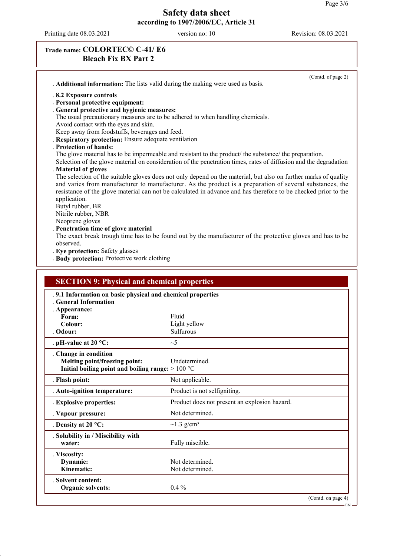$-EN -$ 

# **Safety data sheet according to 1907/2006/EC, Article 31**

Printing date 08.03.2021 version no: 10 Revision: 08.03.2021

# **Trade name: COLORTEC© C-41/ E6 Bleach Fix BX Part 2**

|                                                                                          | . Additional information: The lists valid during the making were used as basis.                                   |
|------------------------------------------------------------------------------------------|-------------------------------------------------------------------------------------------------------------------|
| .8.2 Exposure controls                                                                   |                                                                                                                   |
| . Personal protective equipment:<br>General protective and hygienic measures:            |                                                                                                                   |
|                                                                                          | The usual precautionary measures are to be adhered to when handling chemicals.                                    |
| Avoid contact with the eyes and skin.                                                    |                                                                                                                   |
| Keep away from foodstuffs, beverages and feed.                                           |                                                                                                                   |
| <b>Respiratory protection:</b> Ensure adequate ventilation<br>. Protection of hands:     |                                                                                                                   |
|                                                                                          | The glove material has to be impermeable and resistant to the product/ the substance/ the preparation.            |
|                                                                                          | Selection of the glove material on consideration of the penetration times, rates of diffusion and the degradation |
| . Material of gloves                                                                     | The selection of the suitable gloves does not only depend on the material, but also on further marks of quality   |
|                                                                                          | and varies from manufacturer to manufacturer. As the product is a preparation of several substances, the          |
|                                                                                          | resistance of the glove material can not be calculated in advance and has therefore to be checked prior to the    |
| application.                                                                             |                                                                                                                   |
| Butyl rubber, BR<br>Nitrile rubber, NBR                                                  |                                                                                                                   |
| Neoprene gloves                                                                          |                                                                                                                   |
| . Penetration time of glove material                                                     |                                                                                                                   |
|                                                                                          | The exact break trough time has to be found out by the manufacturer of the protective gloves and has to be        |
| observed.<br>. Eye protection: Safety glasses                                            |                                                                                                                   |
|                                                                                          |                                                                                                                   |
| . Body protection: Protective work clothing                                              |                                                                                                                   |
| <b>SECTION 9: Physical and chemical properties</b>                                       |                                                                                                                   |
| .9.1 Information on basic physical and chemical properties<br><b>Ceneral Information</b> |                                                                                                                   |
| . Appearance:<br>Form:                                                                   | Fluid                                                                                                             |
| Colour:                                                                                  | Light yellow                                                                                                      |
| . Odour:                                                                                 | Sulfurous                                                                                                         |
| . pH-value at $20 °C$ :                                                                  | $\sim$ 5                                                                                                          |
| . Change in condition                                                                    |                                                                                                                   |
| Melting point/freezing point:                                                            | Undetermined.                                                                                                     |
| Initial boiling point and boiling range: $>100 °C$                                       |                                                                                                                   |
| . Flash point:                                                                           | Not applicable.                                                                                                   |
| . Auto-ignition temperature:                                                             | Product is not selfigniting.                                                                                      |
| . Explosive properties:                                                                  | Product does not present an explosion hazard.                                                                     |
| . Vapour pressure:                                                                       | Not determined.                                                                                                   |
| . Density at $20^{\circ}$ C:                                                             | $\sim$ 1.3 g/cm <sup>3</sup>                                                                                      |
| . Solubility in / Miscibility with                                                       |                                                                                                                   |
| water:                                                                                   | Fully miscible.                                                                                                   |
| . Viscosity:                                                                             |                                                                                                                   |
| Dynamic:<br>Kinematic:                                                                   | Not determined.<br>Not determined.                                                                                |
| <b>Solvent content:</b>                                                                  |                                                                                                                   |
| <b>Organic solvents:</b>                                                                 | $0.4\%$                                                                                                           |
|                                                                                          | (Contd. on page 4)                                                                                                |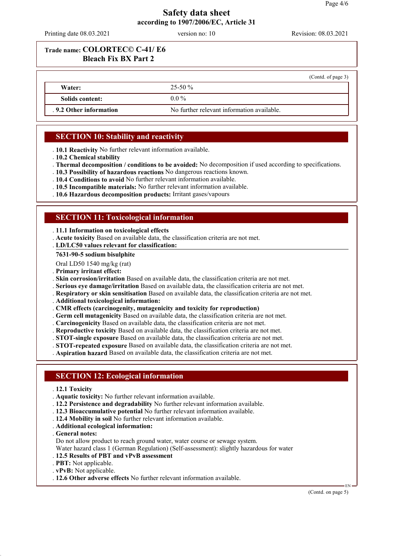Printing date 08.03.2021 version no: 10 Revision: 08.03.2021

# **Trade name: COLORTEC© C-41/ E6 Bleach Fix BX Part 2**

|                        |                                            | (Contd. of page 3) |
|------------------------|--------------------------------------------|--------------------|
| Water:                 | $25 - 50 \%$                               |                    |
| Solids content:        | $0.0\%$                                    |                    |
| .9.2 Other information | No further relevant information available. |                    |

# **SECTION 10: Stability and reactivity**

. **10.1 Reactivity** No further relevant information available.

- . **10.2 Chemical stability**
- . **Thermal decomposition / conditions to be avoided:** No decomposition if used according to specifications.
- . **10.3 Possibility of hazardous reactions** No dangerous reactions known.
- . **10.4 Conditions to avoid** No further relevant information available.
- . **10.5 Incompatible materials:** No further relevant information available.
- . **10.6 Hazardous decomposition products:** Irritant gases/vapours

# **SECTION 11: Toxicological information**

- . **11.1 Information on toxicological effects**
- . **Acute toxicity** Based on available data, the classification criteria are not met.
- **LD/LC50 values relevant for classification:** .

#### **7631-90-5 sodium bisulphite**

- Oral LD50 1540 mg/kg (rat)
- . **Primary irritant effect:**
- . **Skin corrosion/irritation** Based on available data, the classification criteria are not met.
- . **Serious eye damage/irritation** Based on available data, the classification criteria are not met.
- . **Respiratory or skin sensitisation** Based on available data, the classification criteria are not met.
- . **Additional toxicological information:**
- . **CMR effects (carcinogenity, mutagenicity and toxicity for reproduction)**
- . **Germ cell mutagenicity** Based on available data, the classification criteria are not met.
- . **Carcinogenicity** Based on available data, the classification criteria are not met.
- . **Reproductive toxicity** Based on available data, the classification criteria are not met.
- . **STOT-single exposure** Based on available data, the classification criteria are not met.
- . **STOT-repeated exposure** Based on available data, the classification criteria are not met.
- . **Aspiration hazard** Based on available data, the classification criteria are not met.

### **SECTION 12: Ecological information**

- . **12.1 Toxicity**
- . **Aquatic toxicity:** No further relevant information available.
- . **12.2 Persistence and degradability** No further relevant information available.
- . **12.3 Bioaccumulative potential** No further relevant information available.
- . **12.4 Mobility in soil** No further relevant information available.
- . **Additional ecological information:**
- . **General notes:**
- Do not allow product to reach ground water, water course or sewage system.
- Water hazard class 1 (German Regulation) (Self-assessment): slightly hazardous for water
- . **12.5 Results of PBT and vPvB assessment**
- . **PBT:** Not applicable.
- . **vPvB:** Not applicable.
- . **12.6 Other adverse effects** No further relevant information available.

(Contd. on page 5)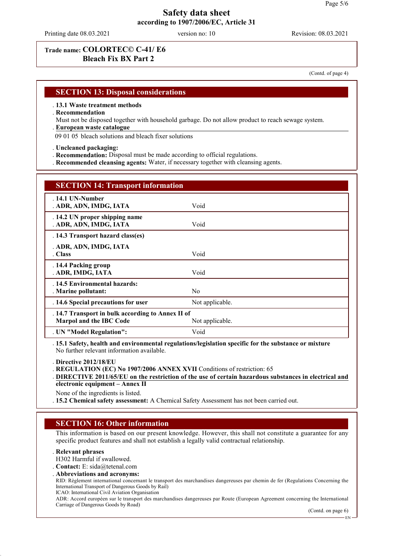Printing date 08.03.2021 version no: 10 Revision: 08.03.2021

# **Trade name: COLORTEC© C-41/ E6 Bleach Fix BX Part 2**

(Contd. of page 4)

### **SECTION 13: Disposal considerations**

- . **13.1 Waste treatment methods**
- . **Recommendation**
- Must not be disposed together with household garbage. Do not allow product to reach sewage system. **European waste catalogue** .
- 09 01 05 bleach solutions and bleach fixer solutions
- . **Uncleaned packaging:**
- . **Recommendation:** Disposal must be made according to official regulations.
- . **Recommended cleansing agents:** Water, if necessary together with cleansing agents.

| <b>SECTION 14: Transport information</b>                                            |                 |  |
|-------------------------------------------------------------------------------------|-----------------|--|
| $.14.1$ UN-Number<br>. ADR, ADN, IMDG, IATA                                         | Void            |  |
| . 14.2 UN proper shipping name<br>. ADR, ADN, IMDG, IATA                            | Void            |  |
| . 14.3 Transport hazard class(es)                                                   |                 |  |
| . ADR, ADN, IMDG, IATA<br>. Class                                                   | Void            |  |
| .14.4 Packing group<br>. ADR, IMDG, IATA                                            | Void            |  |
| . 14.5 Environmental hazards:<br>. Marine pollutant:                                | N <sub>0</sub>  |  |
| . 14.6 Special precautions for user                                                 | Not applicable. |  |
| . 14.7 Transport in bulk according to Annex II of<br><b>Marpol and the IBC Code</b> | Not applicable. |  |
| . UN "Model Regulation":                                                            | Void            |  |

. **15.1 Safety, health and environmental regulations/legislation specific for the substance or mixture** No further relevant information available.

. **Directive 2012/18/EU**

. **REGULATION (EC) No 1907/2006 ANNEX XVII** Conditions of restriction: 65

None of the ingredients is listed.

. **15.2 Chemical safety assessment:** A Chemical Safety Assessment has not been carried out.

### **SECTION 16: Other information**

This information is based on our present knowledge. However, this shall not constitute a guarantee for any specific product features and shall not establish a legally valid contractual relationship.

### . **Relevant phrases**

- H302 Harmful if swallowed.
- . **Contact:** E: sida@tetenal.com
- . **Abbreviations and acronyms:**

RID: Règlement international concernant le transport des marchandises dangereuses par chemin de fer (Regulations Concerning the International Transport of Dangerous Goods by Rail)

ICAO: International Civil Aviation Organisation

ADR: Accord européen sur le transport des marchandises dangereuses par Route (European Agreement concerning the International Carriage of Dangerous Goods by Road)

(Contd. on page 6)

<sup>.</sup> DIRECTIVE 2011/65/EU on the restriction of the use of certain hazardous substances in electrical and **electronic equipment – Annex II**

EN